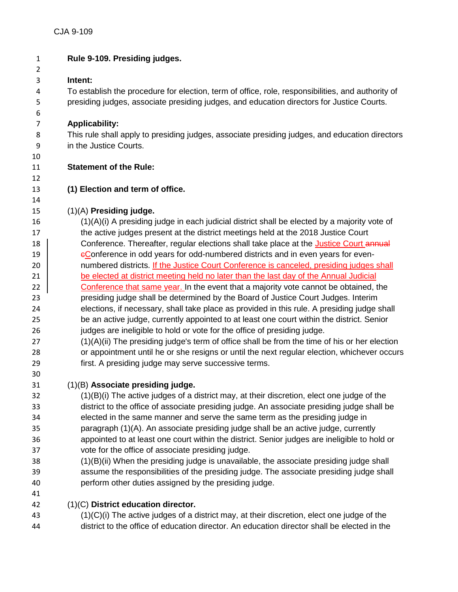| $\mathbf{1}$   | Rule 9-109. Presiding judges.                                                                                                                                                    |
|----------------|----------------------------------------------------------------------------------------------------------------------------------------------------------------------------------|
| $\overline{2}$ |                                                                                                                                                                                  |
| 3              | Intent:                                                                                                                                                                          |
| 4              | To establish the procedure for election, term of office, role, responsibilities, and authority of                                                                                |
| 5              | presiding judges, associate presiding judges, and education directors for Justice Courts.                                                                                        |
| 6              |                                                                                                                                                                                  |
| $\overline{7}$ | <b>Applicability:</b>                                                                                                                                                            |
| 8              | This rule shall apply to presiding judges, associate presiding judges, and education directors                                                                                   |
| 9              | in the Justice Courts.                                                                                                                                                           |
| 10             |                                                                                                                                                                                  |
| 11             | <b>Statement of the Rule:</b>                                                                                                                                                    |
| 12             |                                                                                                                                                                                  |
| 13             | (1) Election and term of office.                                                                                                                                                 |
| 14             |                                                                                                                                                                                  |
| 15             | (1)(A) Presiding judge.                                                                                                                                                          |
| 16             | $(1)(A)(i)$ A presiding judge in each judicial district shall be elected by a majority vote of                                                                                   |
| 17             | the active judges present at the district meetings held at the 2018 Justice Court                                                                                                |
| 18             | Conference. Thereafter, regular elections shall take place at the Justice Court annual                                                                                           |
| 19             | eConference in odd years for odd-numbered districts and in even years for even-                                                                                                  |
| 20             | numbered districts. If the Justice Court Conference is canceled, presiding judges shall                                                                                          |
| 21             | be elected at district meeting held no later than the last day of the Annual Judicial                                                                                            |
| 22             | Conference that same year. In the event that a majority vote cannot be obtained, the                                                                                             |
| 23<br>24       | presiding judge shall be determined by the Board of Justice Court Judges. Interim<br>elections, if necessary, shall take place as provided in this rule. A presiding judge shall |
| 25             | be an active judge, currently appointed to at least one court within the district. Senior                                                                                        |
| 26             | judges are ineligible to hold or vote for the office of presiding judge.                                                                                                         |
| 27             | (1)(A)(ii) The presiding judge's term of office shall be from the time of his or her election                                                                                    |
| 28             | or appointment until he or she resigns or until the next regular election, whichever occurs                                                                                      |
| 29             | first. A presiding judge may serve successive terms.                                                                                                                             |
| 30             |                                                                                                                                                                                  |
| 31             | (1)(B) Associate presiding judge.                                                                                                                                                |
| 32             | $(1)(B)(i)$ The active judges of a district may, at their discretion, elect one judge of the                                                                                     |
| 33             | district to the office of associate presiding judge. An associate presiding judge shall be                                                                                       |
| 34             | elected in the same manner and serve the same term as the presiding judge in                                                                                                     |
| 35             | paragraph (1)(A). An associate presiding judge shall be an active judge, currently                                                                                               |
| 36             | appointed to at least one court within the district. Senior judges are ineligible to hold or                                                                                     |
| 37             | vote for the office of associate presiding judge.                                                                                                                                |
| 38             | (1)(B)(ii) When the presiding judge is unavailable, the associate presiding judge shall                                                                                          |
| 39             | assume the responsibilities of the presiding judge. The associate presiding judge shall                                                                                          |
| 40             | perform other duties assigned by the presiding judge.                                                                                                                            |
| 41             |                                                                                                                                                                                  |
| 42             | $(1)(C)$ District education director.                                                                                                                                            |
| 43             | $(1)(C)(i)$ The active judges of a district may, at their discretion, elect one judge of the                                                                                     |
| 44             | district to the office of education director. An education director shall be elected in the                                                                                      |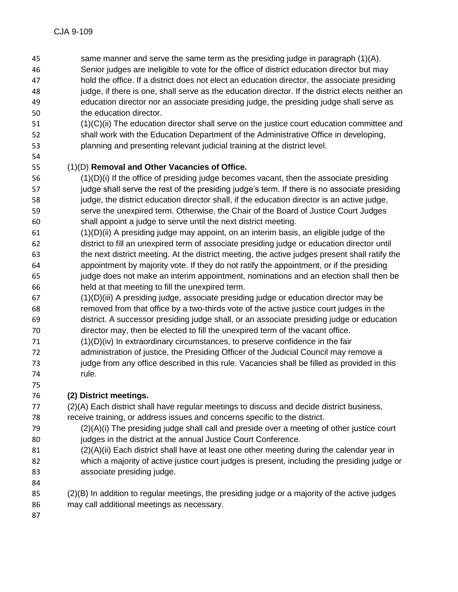- same manner and serve the same term as the presiding judge in paragraph (1)(A). Senior judges are ineligible to vote for the office of district education director but may hold the office. If a district does not elect an education director, the associate presiding judge, if there is one, shall serve as the education director. If the district elects neither an education director nor an associate presiding judge, the presiding judge shall serve as the education director.
- (1)(C)(ii) The education director shall serve on the justice court education committee and shall work with the Education Department of the Administrative Office in developing,
- planning and presenting relevant judicial training at the district level.

## (1)(D) **Removal and Other Vacancies of Office.**

- (1)(D)(i) If the office of presiding judge becomes vacant, then the associate presiding 57 judge shall serve the rest of the presiding judge's term. If there is no associate presiding judge, the district education director shall, if the education director is an active judge, serve the unexpired term. Otherwise, the Chair of the Board of Justice Court Judges shall appoint a judge to serve until the next district meeting.
- (1)(D)(ii) A presiding judge may appoint, on an interim basis, an eligible judge of the district to fill an unexpired term of associate presiding judge or education director until the next district meeting. At the district meeting, the active judges present shall ratify the appointment by majority vote. If they do not ratify the appointment, or if the presiding judge does not make an interim appointment, nominations and an election shall then be held at that meeting to fill the unexpired term.
- (1)(D)(iii) A presiding judge, associate presiding judge or education director may be removed from that office by a two-thirds vote of the active justice court judges in the district. A successor presiding judge shall, or an associate presiding judge or education director may, then be elected to fill the unexpired term of the vacant office.
- (1)(D)(iv) In extraordinary circumstances, to preserve confidence in the fair
- administration of justice, the Presiding Officer of the Judicial Council may remove a 73 judge from any office described in this rule. Vacancies shall be filled as provided in this rule.

## **(2) District meetings.**

- (2)(A) Each district shall have regular meetings to discuss and decide district business, receive training, or address issues and concerns specific to the district.
- $(2)(A)(i)$  The presiding judge shall call and preside over a meeting of other justice court judges in the district at the annual Justice Court Conference.
- (2)(A)(ii) Each district shall have at least one other meeting during the calendar year in which a majority of active justice court judges is present, including the presiding judge or associate presiding judge.

- (2)(B) In addition to regular meetings, the presiding judge or a majority of the active judges may call additional meetings as necessary.
-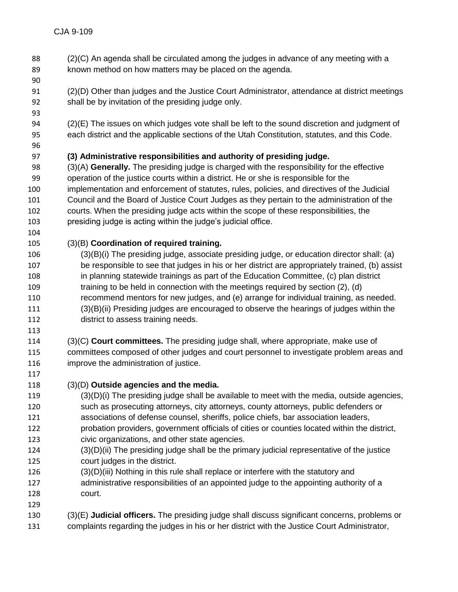(2)(C) An agenda shall be circulated among the judges in advance of any meeting with a known method on how matters may be placed on the agenda. (2)(D) Other than judges and the Justice Court Administrator, attendance at district meetings shall be by invitation of the presiding judge only. (2)(E) The issues on which judges vote shall be left to the sound discretion and judgment of each district and the applicable sections of the Utah Constitution, statutes, and this Code. **(3) Administrative responsibilities and authority of presiding judge.** (3)(A) **Generally.** The presiding judge is charged with the responsibility for the effective operation of the justice courts within a district. He or she is responsible for the implementation and enforcement of statutes, rules, policies, and directives of the Judicial Council and the Board of Justice Court Judges as they pertain to the administration of the courts. When the presiding judge acts within the scope of these responsibilities, the presiding judge is acting within the judge's judicial office. (3)(B) **Coordination of required training.** (3)(B)(i) The presiding judge, associate presiding judge, or education director shall: (a) be responsible to see that judges in his or her district are appropriately trained, (b) assist in planning statewide trainings as part of the Education Committee, (c) plan district training to be held in connection with the meetings required by section (2), (d) recommend mentors for new judges, and (e) arrange for individual training, as needed. (3)(B)(ii) Presiding judges are encouraged to observe the hearings of judges within the district to assess training needs. (3)(C) **Court committees.** The presiding judge shall, where appropriate, make use of committees composed of other judges and court personnel to investigate problem areas and improve the administration of justice. (3)(D) **Outside agencies and the media.** (3)(D)(i) The presiding judge shall be available to meet with the media, outside agencies, such as prosecuting attorneys, city attorneys, county attorneys, public defenders or associations of defense counsel, sheriffs, police chiefs, bar association leaders, probation providers, government officials of cities or counties located within the district, civic organizations, and other state agencies. (3)(D)(ii) The presiding judge shall be the primary judicial representative of the justice court judges in the district. (3)(D)(iii) Nothing in this rule shall replace or interfere with the statutory and administrative responsibilities of an appointed judge to the appointing authority of a court. (3)(E) **Judicial officers.** The presiding judge shall discuss significant concerns, problems or complaints regarding the judges in his or her district with the Justice Court Administrator,